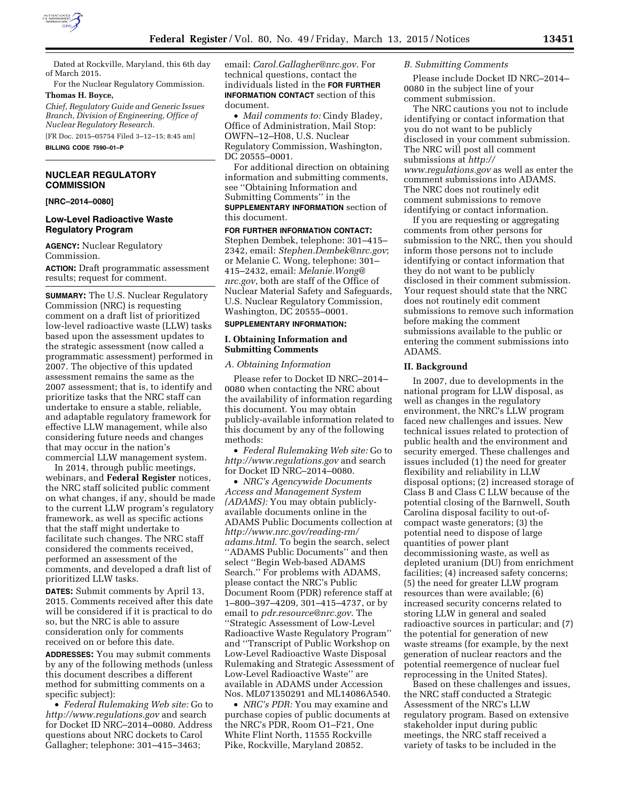

Dated at Rockville, Maryland, this 6th day of March 2015.

For the Nuclear Regulatory Commission. **Thomas H. Boyce,** 

*Chief, Regulatory Guide and Generic Issues Branch, Division of Engineering, Office of Nuclear Regulatory Research.* 

[FR Doc. 2015–05754 Filed 3–12–15; 8:45 am] **BILLING CODE 7590–01–P** 

## **NUCLEAR REGULATORY COMMISSION**

## **[NRC–2014–0080]**

## **Low-Level Radioactive Waste Regulatory Program**

**AGENCY:** Nuclear Regulatory Commission.

**ACTION:** Draft programmatic assessment results; request for comment.

**SUMMARY:** The U.S. Nuclear Regulatory Commission (NRC) is requesting comment on a draft list of prioritized low-level radioactive waste (LLW) tasks based upon the assessment updates to the strategic assessment (now called a programmatic assessment) performed in 2007. The objective of this updated assessment remains the same as the 2007 assessment; that is, to identify and prioritize tasks that the NRC staff can undertake to ensure a stable, reliable, and adaptable regulatory framework for effective LLW management, while also considering future needs and changes that may occur in the nation's commercial LLW management system.

In 2014, through public meetings, webinars, and **Federal Register** notices, the NRC staff solicited public comment on what changes, if any, should be made to the current LLW program's regulatory framework, as well as specific actions that the staff might undertake to facilitate such changes. The NRC staff considered the comments received, performed an assessment of the comments, and developed a draft list of prioritized LLW tasks.

**DATES:** Submit comments by April 13, 2015. Comments received after this date will be considered if it is practical to do so, but the NRC is able to assure consideration only for comments received on or before this date.

**ADDRESSES:** You may submit comments by any of the following methods (unless this document describes a different method for submitting comments on a specific subject):

• *Federal Rulemaking Web site:* Go to *<http://www.regulations.gov>* and search for Docket ID NRC–2014–0080. Address questions about NRC dockets to Carol Gallagher; telephone: 301–415–3463;

email: *[Carol.Gallagher@nrc.gov](mailto:Carol.Gallagher@nrc.gov)*. For technical questions, contact the individuals listed in the **FOR FURTHER INFORMATION CONTACT** section of this document.

• *Mail comments to:* Cindy Bladey, Office of Administration, Mail Stop: OWFN–12–H08, U.S. Nuclear Regulatory Commission, Washington, DC 20555–0001.

For additional direction on obtaining information and submitting comments, see ''Obtaining Information and Submitting Comments'' in the **SUPPLEMENTARY INFORMATION** section of this document.

#### **FOR FURTHER INFORMATION CONTACT:**

Stephen Dembek, telephone: 301–415– 2342, email: *[Stephen.Dembek@nrc.gov](mailto:Stephen.Dembek@nrc.gov)*; or Melanie C. Wong, telephone: 301– 415–2432, email: *[Melanie.Wong@](mailto:Melanie.Wong@nrc.gov) [nrc.gov](mailto:Melanie.Wong@nrc.gov)*, both are staff of the Office of Nuclear Material Safety and Safeguards, U.S. Nuclear Regulatory Commission, Washington, DC 20555–0001.

#### **SUPPLEMENTARY INFORMATION:**

#### **I. Obtaining Information and Submitting Comments**

#### *A. Obtaining Information*

Please refer to Docket ID NRC–2014– 0080 when contacting the NRC about the availability of information regarding this document. You may obtain publicly-available information related to this document by any of the following methods:

• *Federal Rulemaking Web site:* Go to *<http://www.regulations.gov>* and search for Docket ID NRC–2014–0080.

• *NRC's Agencywide Documents Access and Management System (ADAMS):* You may obtain publiclyavailable documents online in the ADAMS Public Documents collection at *[http://www.nrc.gov/reading-rm/](http://www.nrc.gov/reading-rm/adams.html) [adams.html](http://www.nrc.gov/reading-rm/adams.html)*. To begin the search, select ''ADAMS Public Documents'' and then select ''Begin Web-based ADAMS Search.'' For problems with ADAMS, please contact the NRC's Public Document Room (PDR) reference staff at 1–800–397–4209, 301–415–4737, or by email to *[pdr.resource@nrc.gov](mailto:pdr.resource@nrc.gov)*. The ''Strategic Assessment of Low-Level Radioactive Waste Regulatory Program'' and ''Transcript of Public Workshop on Low-Level Radioactive Waste Disposal Rulemaking and Strategic Assessment of Low-Level Radioactive Waste'' are available in ADAMS under Accession Nos. ML071350291 and ML14086A540.

• *NRC's PDR:* You may examine and purchase copies of public documents at the NRC's PDR, Room O1–F21, One White Flint North, 11555 Rockville Pike, Rockville, Maryland 20852.

#### *B. Submitting Comments*

Please include Docket ID NRC–2014– 0080 in the subject line of your comment submission.

The NRC cautions you not to include identifying or contact information that you do not want to be publicly disclosed in your comment submission. The NRC will post all comment submissions at *[http://](http://www.regulations.gov) [www.regulations.gov](http://www.regulations.gov)* as well as enter the comment submissions into ADAMS. The NRC does not routinely edit comment submissions to remove identifying or contact information.

If you are requesting or aggregating comments from other persons for submission to the NRC, then you should inform those persons not to include identifying or contact information that they do not want to be publicly disclosed in their comment submission. Your request should state that the NRC does not routinely edit comment submissions to remove such information before making the comment submissions available to the public or entering the comment submissions into ADAMS.

#### **II. Background**

In 2007, due to developments in the national program for LLW disposal, as well as changes in the regulatory environment, the NRC's LLW program faced new challenges and issues. New technical issues related to protection of public health and the environment and security emerged. These challenges and issues included (1) the need for greater flexibility and reliability in LLW disposal options; (2) increased storage of Class B and Class C LLW because of the potential closing of the Barnwell, South Carolina disposal facility to out-ofcompact waste generators; (3) the potential need to dispose of large quantities of power plant decommissioning waste, as well as depleted uranium (DU) from enrichment facilities; (4) increased safety concerns; (5) the need for greater LLW program resources than were available; (6) increased security concerns related to storing LLW in general and sealed radioactive sources in particular; and (7) the potential for generation of new waste streams (for example, by the next generation of nuclear reactors and the potential reemergence of nuclear fuel reprocessing in the United States).

Based on these challenges and issues, the NRC staff conducted a Strategic Assessment of the NRC's LLW regulatory program. Based on extensive stakeholder input during public meetings, the NRC staff received a variety of tasks to be included in the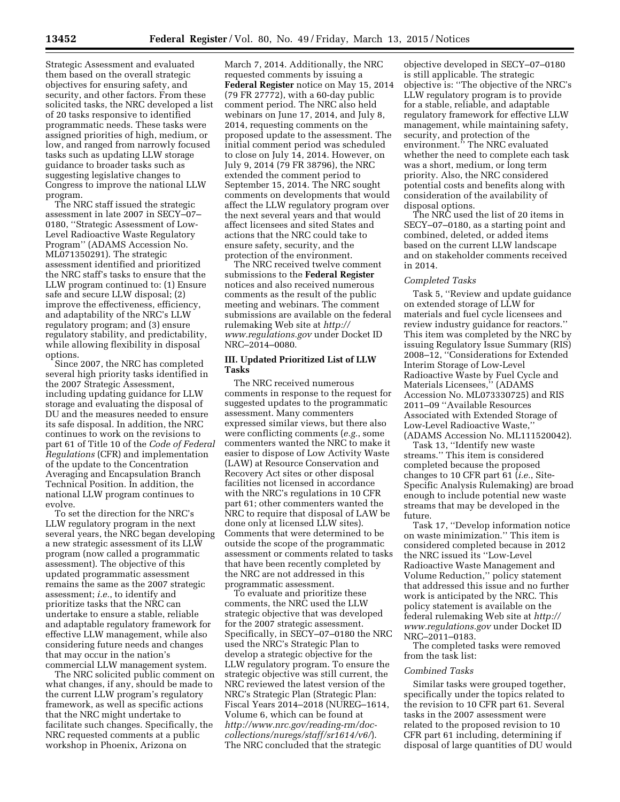Strategic Assessment and evaluated them based on the overall strategic objectives for ensuring safety, and security, and other factors. From these solicited tasks, the NRC developed a list of 20 tasks responsive to identified programmatic needs. These tasks were assigned priorities of high, medium, or low, and ranged from narrowly focused tasks such as updating LLW storage guidance to broader tasks such as suggesting legislative changes to Congress to improve the national LLW program.

The NRC staff issued the strategic assessment in late 2007 in SECY–07– 0180, ''Strategic Assessment of Low-Level Radioactive Waste Regulatory Program'' (ADAMS Accession No. ML071350291). The strategic assessment identified and prioritized the NRC staff's tasks to ensure that the LLW program continued to: (1) Ensure safe and secure LLW disposal; (2) improve the effectiveness, efficiency, and adaptability of the NRC's LLW regulatory program; and (3) ensure regulatory stability, and predictability, while allowing flexibility in disposal options.

Since 2007, the NRC has completed several high priority tasks identified in the 2007 Strategic Assessment, including updating guidance for LLW storage and evaluating the disposal of DU and the measures needed to ensure its safe disposal. In addition, the NRC continues to work on the revisions to part 61 of Title 10 of the *Code of Federal Regulations* (CFR) and implementation of the update to the Concentration Averaging and Encapsulation Branch Technical Position. In addition, the national LLW program continues to evolve.

To set the direction for the NRC's LLW regulatory program in the next several years, the NRC began developing a new strategic assessment of its LLW program (now called a programmatic assessment). The objective of this updated programmatic assessment remains the same as the 2007 strategic assessment; *i.e.*, to identify and prioritize tasks that the NRC can undertake to ensure a stable, reliable and adaptable regulatory framework for effective LLW management, while also considering future needs and changes that may occur in the nation's commercial LLW management system.

The NRC solicited public comment on what changes, if any, should be made to the current LLW program's regulatory framework, as well as specific actions that the NRC might undertake to facilitate such changes. Specifically, the NRC requested comments at a public workshop in Phoenix, Arizona on

March 7, 2014. Additionally, the NRC requested comments by issuing a **Federal Register** notice on May 15, 2014 (79 FR 27772), with a 60-day public comment period. The NRC also held webinars on June 17, 2014, and July 8, 2014, requesting comments on the proposed update to the assessment. The initial comment period was scheduled to close on July 14, 2014. However, on July 9, 2014 (79 FR 38796), the NRC extended the comment period to September 15, 2014. The NRC sought comments on developments that would affect the LLW regulatory program over the next several years and that would affect licensees and sited States and actions that the NRC could take to ensure safety, security, and the protection of the environment.

The NRC received twelve comment submissions to the **Federal Register**  notices and also received numerous comments as the result of the public meeting and webinars. The comment submissions are available on the federal rulemaking Web site at *[http://](http://www.regulations.gov) [www.regulations.gov](http://www.regulations.gov)* under Docket ID NRC–2014–0080.

## **III. Updated Prioritized List of LLW Tasks**

The NRC received numerous comments in response to the request for suggested updates to the programmatic assessment. Many commenters expressed similar views, but there also were conflicting comments (*e.g.*, some commenters wanted the NRC to make it easier to dispose of Low Activity Waste (LAW) at Resource Conservation and Recovery Act sites or other disposal facilities not licensed in accordance with the NRC's regulations in 10 CFR part 61; other commenters wanted the NRC to require that disposal of LAW be done only at licensed LLW sites). Comments that were determined to be outside the scope of the programmatic assessment or comments related to tasks that have been recently completed by the NRC are not addressed in this programmatic assessment.

To evaluate and prioritize these comments, the NRC used the LLW strategic objective that was developed for the 2007 strategic assessment. Specifically, in SECY–07–0180 the NRC used the NRC's Strategic Plan to develop a strategic objective for the LLW regulatory program. To ensure the strategic objective was still current, the NRC reviewed the latest version of the NRC's Strategic Plan (Strategic Plan: Fiscal Years 2014–2018 (NUREG–1614, Volume 6, which can be found at *[http://www.nrc.gov/reading-rm/doc](http://www.nrc.gov/reading-rm/doc-collections/nuregs/staff/sr1614/v6/)[collections/nuregs/staff/sr1614/v6/](http://www.nrc.gov/reading-rm/doc-collections/nuregs/staff/sr1614/v6/)*). The NRC concluded that the strategic

objective developed in SECY–07–0180 is still applicable. The strategic objective is: ''The objective of the NRC's LLW regulatory program is to provide for a stable, reliable, and adaptable regulatory framework for effective LLW management, while maintaining safety, security, and protection of the environment.'' The NRC evaluated whether the need to complete each task was a short, medium, or long term priority. Also, the NRC considered potential costs and benefits along with consideration of the availability of disposal options.

The NRC used the list of 20 items in SECY–07–0180, as a starting point and combined, deleted, or added items based on the current LLW landscape and on stakeholder comments received in 2014.

## *Completed Tasks*

Task 5, ''Review and update guidance on extended storage of LLW for materials and fuel cycle licensees and review industry guidance for reactors.'' This item was completed by the NRC by issuing Regulatory Issue Summary (RIS) 2008–12, ''Considerations for Extended Interim Storage of Low-Level Radioactive Waste by Fuel Cycle and Materials Licensees,'' (ADAMS Accession No. ML073330725) and RIS 2011–09 ''Available Resources Associated with Extended Storage of Low-Level Radioactive Waste,'' (ADAMS Accession No. ML111520042).

Task 13, ''Identify new waste streams.'' This item is considered completed because the proposed changes to 10 CFR part 61 (*i.e.*, Site-Specific Analysis Rulemaking) are broad enough to include potential new waste streams that may be developed in the future.

Task 17, ''Develop information notice on waste minimization.'' This item is considered completed because in 2012 the NRC issued its ''Low-Level Radioactive Waste Management and Volume Reduction,'' policy statement that addressed this issue and no further work is anticipated by the NRC. This policy statement is available on the federal rulemaking Web site at *[http://](http://www.regulations.gov) [www.regulations.gov](http://www.regulations.gov)* under Docket ID NRC–2011–0183.

The completed tasks were removed from the task list:

#### *Combined Tasks*

Similar tasks were grouped together, specifically under the topics related to the revision to 10 CFR part 61. Several tasks in the 2007 assessment were related to the proposed revision to 10 CFR part 61 including, determining if disposal of large quantities of DU would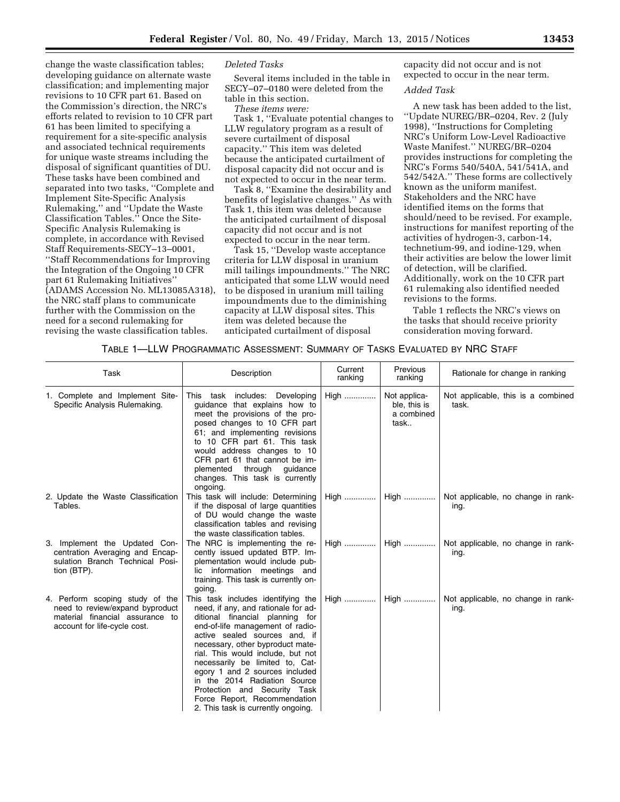change the waste classification tables; developing guidance on alternate waste classification; and implementing major revisions to 10 CFR part 61. Based on the Commission's direction, the NRC's efforts related to revision to 10 CFR part 61 has been limited to specifying a requirement for a site-specific analysis and associated technical requirements for unique waste streams including the disposal of significant quantities of DU. These tasks have been combined and separated into two tasks, ''Complete and Implement Site-Specific Analysis Rulemaking,'' and ''Update the Waste Classification Tables.'' Once the Site-Specific Analysis Rulemaking is complete, in accordance with Revised Staff Requirements-SECY–13–0001, ''Staff Recommendations for Improving the Integration of the Ongoing 10 CFR part 61 Rulemaking Initiatives'' (ADAMS Accession No. ML13085A318), the NRC staff plans to communicate further with the Commission on the need for a second rulemaking for revising the waste classification tables.

#### *Deleted Tasks*

Several items included in the table in SECY–07–0180 were deleted from the table in this section.

*These items were:* 

Task 1, ''Evaluate potential changes to LLW regulatory program as a result of severe curtailment of disposal capacity.'' This item was deleted because the anticipated curtailment of disposal capacity did not occur and is not expected to occur in the near term.

Task 8, ''Examine the desirability and benefits of legislative changes.'' As with Task 1, this item was deleted because the anticipated curtailment of disposal capacity did not occur and is not expected to occur in the near term.

Task 15, ''Develop waste acceptance criteria for LLW disposal in uranium mill tailings impoundments.'' The NRC anticipated that some LLW would need to be disposed in uranium mill tailing impoundments due to the diminishing capacity at LLW disposal sites. This item was deleted because the anticipated curtailment of disposal

capacity did not occur and is not expected to occur in the near term.

#### *Added Task*

A new task has been added to the list, ''Update NUREG/BR–0204, Rev. 2 (July 1998), ''Instructions for Completing NRC's Uniform Low-Level Radioactive Waste Manifest.'' NUREG/BR–0204 provides instructions for completing the NRC's Forms 540/540A, 541/541A, and 542/542A.'' These forms are collectively known as the uniform manifest. Stakeholders and the NRC have identified items on the forms that should/need to be revised. For example, instructions for manifest reporting of the activities of hydrogen-3, carbon-14, technetium-99, and iodine-129, when their activities are below the lower limit of detection, will be clarified. Additionally, work on the 10 CFR part 61 rulemaking also identified needed revisions to the forms.

Table 1 reflects the NRC's views on the tasks that should receive priority consideration moving forward.

## TABLE 1—LLW PROGRAMMATIC ASSESSMENT: SUMMARY OF TASKS EVALUATED BY NRC STAFF

| Task                                                                                                                                  | Description                                                                                                                                                                                                                                                                                                                                                                                                                                                           | Current<br>ranking | Previous<br>ranking                                | Rationale for change in ranking             |
|---------------------------------------------------------------------------------------------------------------------------------------|-----------------------------------------------------------------------------------------------------------------------------------------------------------------------------------------------------------------------------------------------------------------------------------------------------------------------------------------------------------------------------------------------------------------------------------------------------------------------|--------------------|----------------------------------------------------|---------------------------------------------|
| 1. Complete and Implement Site-<br>Specific Analysis Rulemaking.                                                                      | includes: Developing<br>This task<br>guidance that explains how to<br>meet the provisions of the pro-<br>posed changes to 10 CFR part<br>61; and implementing revisions<br>to 10 CFR part 61. This task<br>would address changes to 10<br>CFR part 61 that cannot be im-<br>through<br>plemented<br>guidance<br>changes. This task is currently<br>ongoing.                                                                                                           | High               | Not applica-<br>ble, this is<br>a combined<br>task | Not applicable, this is a combined<br>task. |
| 2. Update the Waste Classification<br>Tables.                                                                                         | This task will include: Determining<br>if the disposal of large quantities<br>of DU would change the waste<br>classification tables and revising<br>the waste classification tables.                                                                                                                                                                                                                                                                                  | High               | $High$                                             | Not applicable, no change in rank-<br>ing.  |
| 3. Implement the Updated Con-<br>centration Averaging and Encap-<br>sulation Branch Technical Posi-<br>tion (BTP).                    | The NRC is implementing the re-<br>cently issued updated BTP. Im-<br>plementation would include pub-<br>lic information meetings and<br>training. This task is currently on-<br>going.                                                                                                                                                                                                                                                                                | High               | High                                               | Not applicable, no change in rank-<br>ing.  |
| 4. Perform scoping study of the<br>need to review/expand byproduct<br>material financial assurance to<br>account for life-cycle cost. | This task includes identifying the<br>need, if any, and rationale for ad-<br>ditional financial planning for<br>end-of-life management of radio-<br>active sealed sources and, if<br>necessary, other byproduct mate-<br>rial. This would include, but not<br>necessarily be limited to, Cat-<br>egory 1 and 2 sources included<br>in the 2014 Radiation Source<br>Protection and Security Task<br>Force Report, Recommendation<br>2. This task is currently ongoing. | High               | High                                               | Not applicable, no change in rank-<br>ing.  |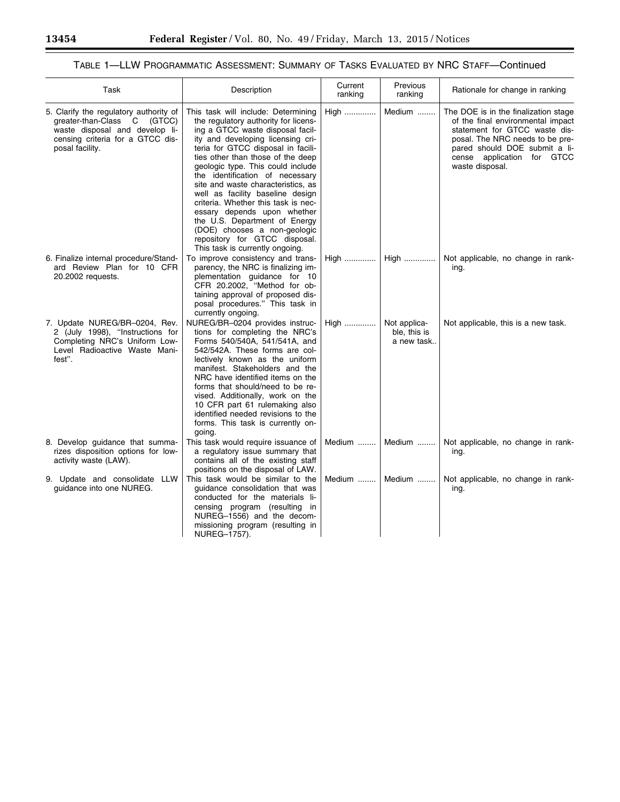Ξ

▀

# TABLE 1—LLW PROGRAMMATIC ASSESSMENT: SUMMARY OF TASKS EVALUATED BY NRC STAFF—Continued

| Task                                                                                                                                                           | Description                                                                                                                                                                                                                                                                                                                                                                                                                                                                                                                                                                                  | Current<br>ranking | Previous<br>ranking                        | Rationale for change in ranking                                                                                                                                                                                                 |
|----------------------------------------------------------------------------------------------------------------------------------------------------------------|----------------------------------------------------------------------------------------------------------------------------------------------------------------------------------------------------------------------------------------------------------------------------------------------------------------------------------------------------------------------------------------------------------------------------------------------------------------------------------------------------------------------------------------------------------------------------------------------|--------------------|--------------------------------------------|---------------------------------------------------------------------------------------------------------------------------------------------------------------------------------------------------------------------------------|
| 5. Clarify the regulatory authority of<br>greater-than-Class C (GTCC)<br>waste disposal and develop li-<br>censing criteria for a GTCC dis-<br>posal facility. | This task will include: Determining<br>the regulatory authority for licens-<br>ing a GTCC waste disposal facil-<br>ity and developing licensing cri-<br>teria for GTCC disposal in facili-<br>ties other than those of the deep<br>geologic type. This could include<br>the identification of necessary<br>site and waste characteristics, as<br>well as facility baseline design<br>criteria. Whether this task is nec-<br>essary depends upon whether<br>the U.S. Department of Energy<br>(DOE) chooses a non-geologic<br>repository for GTCC disposal.<br>This task is currently ongoing. | High               | Medium                                     | The DOE is in the finalization stage<br>of the final environmental impact<br>statement for GTCC waste dis-<br>posal. The NRC needs to be pre-<br>pared should DOE submit a li-<br>cense application for GTCC<br>waste disposal. |
| 6. Finalize internal procedure/Stand-<br>ard Review Plan for 10 CFR<br>20.2002 requests.                                                                       | To improve consistency and trans-<br>parency, the NRC is finalizing im-<br>plementation guidance for 10<br>CFR 20.2002, "Method for ob-<br>taining approval of proposed dis-<br>posal procedures." This task in<br>currently ongoing.                                                                                                                                                                                                                                                                                                                                                        | High               | High                                       | Not applicable, no change in rank-<br>ing.                                                                                                                                                                                      |
| 7. Update NUREG/BR-0204, Rev.<br>2 (July 1998), "Instructions for<br>Completing NRC's Uniform Low-<br>Level Radioactive Waste Mani-<br>fest".                  | NUREG/BR-0204 provides instruc-<br>tions for completing the NRC's<br>Forms 540/540A, 541/541A, and<br>542/542A. These forms are col-<br>lectively known as the uniform<br>manifest. Stakeholders and the<br>NRC have identified items on the<br>forms that should/need to be re-<br>vised. Additionally, work on the<br>10 CFR part 61 rulemaking also<br>identified needed revisions to the<br>forms. This task is currently on-<br>going.                                                                                                                                                  | High               | Not applica-<br>ble, this is<br>a new task | Not applicable, this is a new task.                                                                                                                                                                                             |
| 8. Develop guidance that summa-<br>rizes disposition options for low-<br>activity waste (LAW).                                                                 | This task would require issuance of<br>a regulatory issue summary that<br>contains all of the existing staff<br>positions on the disposal of LAW.                                                                                                                                                                                                                                                                                                                                                                                                                                            | Medium             | Medium                                     | Not applicable, no change in rank-<br>ing.                                                                                                                                                                                      |
| 9. Update and consolidate LLW<br>guidance into one NUREG.                                                                                                      | This task would be similar to the<br>quidance consolidation that was<br>conducted for the materials li-<br>censing program (resulting in<br>NUREG-1556) and the decom-<br>missioning program (resulting in<br>NUREG-1757).                                                                                                                                                                                                                                                                                                                                                                   | Medium             | Medium                                     | Not applicable, no change in rank-<br>ing.                                                                                                                                                                                      |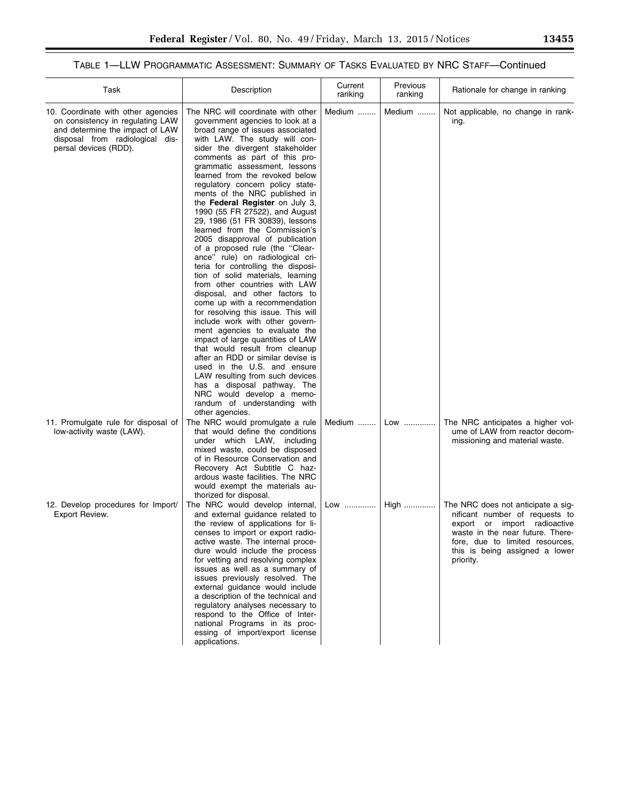# TABLE 1—LLW PROGRAMMATIC ASSESSMENT: SUMMARY OF TASKS EVALUATED BY NRC STAFF—Continued

| Task                                                                                                                                                                  | Description                                                                                                                                                                                                                                                                                                                                                                                                                                                                                                                                                                                                                                                                                                                                                                                                                                                                                                                                                                                                                                                                                                                                                                                       | Current<br>ranking | Previous<br>ranking | Rationale for change in ranking                                                                                                                                                                                            |
|-----------------------------------------------------------------------------------------------------------------------------------------------------------------------|---------------------------------------------------------------------------------------------------------------------------------------------------------------------------------------------------------------------------------------------------------------------------------------------------------------------------------------------------------------------------------------------------------------------------------------------------------------------------------------------------------------------------------------------------------------------------------------------------------------------------------------------------------------------------------------------------------------------------------------------------------------------------------------------------------------------------------------------------------------------------------------------------------------------------------------------------------------------------------------------------------------------------------------------------------------------------------------------------------------------------------------------------------------------------------------------------|--------------------|---------------------|----------------------------------------------------------------------------------------------------------------------------------------------------------------------------------------------------------------------------|
| 10. Coordinate with other agencies<br>on consistency in regulating LAW<br>and determine the impact of LAW<br>disposal from radiological dis-<br>persal devices (RDD). | The NRC will coordinate with other<br>government agencies to look at a<br>broad range of issues associated<br>with LAW. The study will con-<br>sider the divergent stakeholder<br>comments as part of this pro-<br>grammatic assessment, lessons<br>learned from the revoked below<br>regulatory concern policy state-<br>ments of the NRC published in<br>the Federal Register on July 3,<br>1990 (55 FR 27522), and August<br>29, 1986 (51 FR 30839), lessons<br>learned from the Commission's<br>2005 disapproval of publication<br>of a proposed rule (the "Clear-<br>ance" rule) on radiological cri-<br>teria for controlling the disposi-<br>tion of solid materials, learning<br>from other countries with LAW<br>disposal, and other factors to<br>come up with a recommendation<br>for resolving this issue. This will<br>include work with other govern-<br>ment agencies to evaluate the<br>impact of large quantities of LAW<br>that would result from cleanup<br>after an RDD or similar devise is<br>used in the U.S. and ensure<br>LAW resulting from such devices<br>has a disposal pathway. The<br>NRC would develop a memo-<br>randum of understanding with<br>other agencies. | Medium             | Medium              | Not applicable, no change in rank-<br>ing.                                                                                                                                                                                 |
| 11. Promulgate rule for disposal of<br>low-activity waste (LAW).                                                                                                      | The NRC would promulgate a rule<br>that would define the conditions<br>under which LAW, including<br>mixed waste, could be disposed<br>of in Resource Conservation and<br>Recovery Act Subtitle C haz-<br>ardous waste facilities. The NRC<br>would exempt the materials au-<br>thorized for disposal.                                                                                                                                                                                                                                                                                                                                                                                                                                                                                                                                                                                                                                                                                                                                                                                                                                                                                            | Medium             | Low                 | The NRC anticipates a higher vol-<br>ume of LAW from reactor decom-<br>missioning and material waste.                                                                                                                      |
| 12. Develop procedures for Import/<br>Export Review.                                                                                                                  | The NRC would develop internal,<br>and external guidance related to<br>the review of applications for li-<br>censes to import or export radio-<br>active waste. The internal proce-<br>dure would include the process<br>for vetting and resolving complex<br>issues as well as a summary of<br>issues previously resolved. The<br>external guidance would include<br>a description of the technical and<br>regulatory analyses necessary to<br>respond to the Office of Inter-<br>national Programs in its proc-<br>essing of import/export license<br>applications.                                                                                                                                                                                                                                                                                                                                                                                                                                                                                                                                                                                                                             | Low                | High                | The NRC does not anticipate a sig-<br>nificant number of requests to<br>export or import radioactive<br>waste in the near future. There-<br>fore, due to limited resources,<br>this is being assigned a lower<br>priority. |